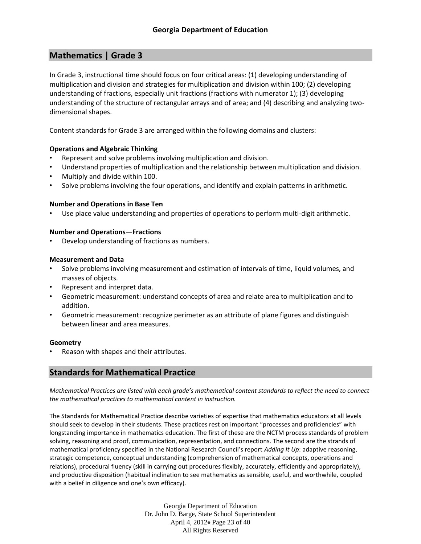# **Mathematics | Grade 3**

In Grade 3, instructional time should focus on four critical areas: (1) developing understanding of multiplication and division and strategies for multiplication and division within 100; (2) developing understanding of fractions, especially unit fractions (fractions with numerator 1); (3) developing understanding of the structure of rectangular arrays and of area; and (4) describing and analyzing twodimensional shapes.

Content standards for Grade 3 are arranged within the following domains and clusters:

# **Operations and Algebraic Thinking**

- Represent and solve problems involving multiplication and division.
- Understand properties of multiplication and the relationship between multiplication and division.
- Multiply and divide within 100.
- Solve problems involving the four operations, and identify and explain patterns in arithmetic.

# **Number and Operations in Base Ten**

• Use place value understanding and properties of operations to perform multi-digit arithmetic.

# **Number and Operations—Fractions**

Develop understanding of fractions as numbers.

# **Measurement and Data**

- Solve problems involving measurement and estimation of intervals of time, liquid volumes, and masses of objects.
- Represent and interpret data.
- Geometric measurement: understand concepts of area and relate area to multiplication and to addition.
- Geometric measurement: recognize perimeter as an attribute of plane figures and distinguish between linear and area measures.

# **Geometry**

• Reason with shapes and their attributes.

# **Standards for Mathematical Practice**

*Mathematical Practices are listed with each grade's mathematical content standards to reflect the need to connect the mathematical practices to mathematical content in instruction.*

The Standards for Mathematical Practice describe varieties of expertise that mathematics educators at all levels should seek to develop in their students. These practices rest on important "processes and proficiencies" with longstanding importance in mathematics education. The first of these are the NCTM process standards of problem solving, reasoning and proof, communication, representation, and connections. The second are the strands of mathematical proficiency specified in the National Research Council's report *Adding It Up*: adaptive reasoning, strategic competence, conceptual understanding (comprehension of mathematical concepts, operations and relations), procedural fluency (skill in carrying out procedures flexibly, accurately, efficiently and appropriately), and productive disposition (habitual inclination to see mathematics as sensible, useful, and worthwhile, coupled with a belief in diligence and one's own efficacy).

> Georgia Department of Education Dr. John D. Barge, State School Superintendent April 4, 2012 Page 23 of 40 All Rights Reserved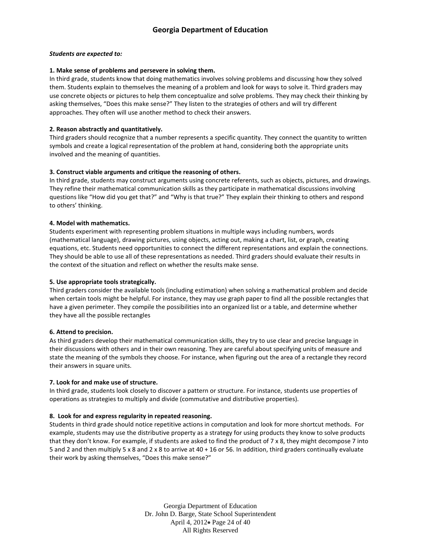#### *Students are expected to:*

#### **1. Make sense of problems and persevere in solving them.**

In third grade, students know that doing mathematics involves solving problems and discussing how they solved them. Students explain to themselves the meaning of a problem and look for ways to solve it. Third graders may use concrete objects or pictures to help them conceptualize and solve problems. They may check their thinking by asking themselves, "Does this make sense?" They listen to the strategies of others and will try different approaches. They often will use another method to check their answers.

#### **2. Reason abstractly and quantitatively.**

Third graders should recognize that a number represents a specific quantity. They connect the quantity to written symbols and create a logical representation of the problem at hand, considering both the appropriate units involved and the meaning of quantities.

#### **3. Construct viable arguments and critique the reasoning of others.**

In third grade, students may construct arguments using concrete referents, such as objects, pictures, and drawings. They refine their mathematical communication skills as they participate in mathematical discussions involving questions like "How did you get that?" and "Why is that true?" They explain their thinking to others and respond to others' thinking.

#### **4. Model with mathematics.**

Students experiment with representing problem situations in multiple ways including numbers, words (mathematical language), drawing pictures, using objects, acting out, making a chart, list, or graph, creating equations, etc. Students need opportunities to connect the different representations and explain the connections. They should be able to use all of these representations as needed. Third graders should evaluate their results in the context of the situation and reflect on whether the results make sense.

#### **5. Use appropriate tools strategically.**

Third graders consider the available tools (including estimation) when solving a mathematical problem and decide when certain tools might be helpful. For instance, they may use graph paper to find all the possible rectangles that have a given perimeter. They compile the possibilities into an organized list or a table, and determine whether they have all the possible rectangles

#### **6. Attend to precision.**

As third graders develop their mathematical communication skills, they try to use clear and precise language in their discussions with others and in their own reasoning. They are careful about specifying units of measure and state the meaning of the symbols they choose. For instance, when figuring out the area of a rectangle they record their answers in square units.

#### **7. Look for and make use of structure.**

In third grade, students look closely to discover a pattern or structure. For instance, students use properties of operations as strategies to multiply and divide (commutative and distributive properties).

#### **8. Look for and express regularity in repeated reasoning.**

Students in third grade should notice repetitive actions in computation and look for more shortcut methods. For example, students may use the distributive property as a strategy for using products they know to solve products that they don't know. For example, if students are asked to find the product of 7 x 8, they might decompose 7 into 5 and 2 and then multiply 5 x 8 and 2 x 8 to arrive at 40 + 16 or 56. In addition, third graders continually evaluate their work by asking themselves, "Does this make sense?"

> Georgia Department of Education Dr. John D. Barge, State School Superintendent April 4, 2012 Page 24 of 40 All Rights Reserved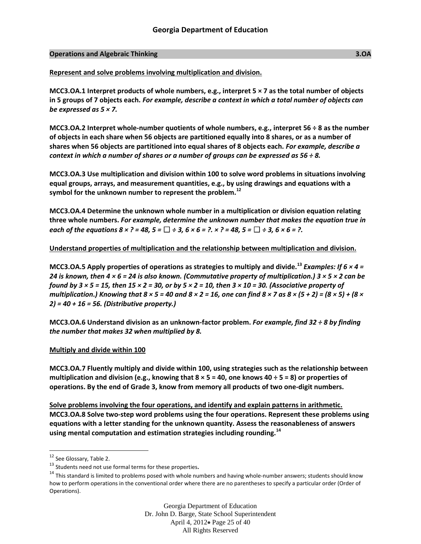### **Operations and Algebraic Thinking 3.OA**

**Represent and solve problems involving multiplication and division.**

**MCC3.OA.1 Interpret products of whole numbers, e.g., interpret 5 × 7 as the total number of objects in 5 groups of 7 objects each.** *For example, describe a context in which a total number of objects can be expressed as 5 × 7.*

**MCC3.OA.2 Interpret whole-number quotients of whole numbers, e.g., interpret 56 ÷ 8 as the number of objects in each share when 56 objects are partitioned equally into 8 shares, or as a number of shares when 56 objects are partitioned into equal shares of 8 objects each.** *For example, describe a context in which a number of shares or a number of groups can be expressed as 56 ÷ 8.*

**MCC3.OA.3 Use multiplication and division within 100 to solve word problems in situations involving equal groups, arrays, and measurement quantities, e.g., by using drawings and equations with a symbol for the unknown number to represent the problem.<sup>12</sup>**

**MCC3.OA.4 Determine the unknown whole number in a multiplication or division equation relating three whole numbers.** *For example, determine the unknown number that makes the equation true in each of the equations 8 × ? = 48, 5 =* □  $\div$  3, 6 × 6 = ?. × ? = 48, 5 = □  $\div$  3, 6 × 6 = ?.

# **Understand properties of multiplication and the relationship between multiplication and division.**

**MCC3.OA.5 Apply properties of operations as strategies to multiply and divide.<sup>13</sup>** *Examples: If 6 × 4 = 24 is known, then 4 × 6 = 24 is also known. (Commutative property of multiplication.) 3 × 5 × 2 can be found by 3 × 5 = 15, then 15 × 2 = 30, or by 5 × 2 = 10, then 3 × 10 = 30. (Associative property of multiplication.) Knowing that 8 × 5 = 40 and 8 × 2 = 16, one can find 8 × 7 as 8 × (5 + 2) = (8 × 5) + (8 × 2) = 40 + 16 = 56. (Distributive property.)*

**MCC3.OA.6 Understand division as an unknown-factor problem.** *For example, find 32 ÷ 8 by finding the number that makes 32 when multiplied by 8.*

# **Multiply and divide within 100**

**MCC3.OA.7 Fluently multiply and divide within 100, using strategies such as the relationship between multiplication and division (e.g., knowing that 8 × 5 = 40, one knows 40 ÷ 5 = 8) or properties of operations. By the end of Grade 3, know from memory all products of two one-digit numbers.**

**Solve problems involving the four operations, and identify and explain patterns in arithmetic. MCC3.OA.8 Solve two-step word problems using the four operations. Represent these problems using equations with a letter standing for the unknown quantity. Assess the reasonableness of answers using mental computation and estimation strategies including rounding.<sup>14</sup>**

 $\overline{a}$ 

Georgia Department of Education Dr. John D. Barge, State School Superintendent April 4, 2012 Page 25 of 40 All Rights Reserved

<sup>&</sup>lt;sup>12</sup> See Glossary, Table 2.

<sup>13</sup> Students need not use formal terms for these properties**.**

 $14$  This standard is limited to problems posed with whole numbers and having whole-number answers; students should know how to perform operations in the conventional order where there are no parentheses to specify a particular order (Order of Operations).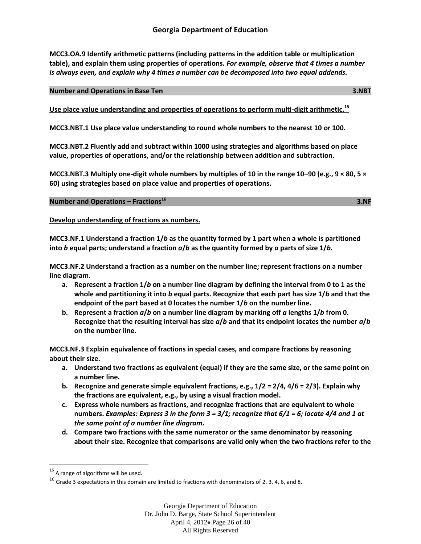**MCC3.OA.9 Identify arithmetic patterns (including patterns in the addition table or multiplication table), and explain them using properties of operations.** *For example, observe that 4 times a number is always even, and explain why 4 times a number can be decomposed into two equal addends.*

#### **Number and Operations in Base Ten 3.NBT**

**Use place value understanding and properties of operations to perform multi-digit arithmetic.<sup>15</sup>**

**MCC3.NBT.1 Use place value understanding to round whole numbers to the nearest 10 or 100.**

**MCC3.NBT.2 Fluently add and subtract within 1000 using strategies and algorithms based on place value, properties of operations, and/or the relationship between addition and subtraction**.

**MCC3.NBT.3 Multiply one-digit whole numbers by multiples of 10 in the range 10–90 (e.g., 9 × 80, 5 × 60) using strategies based on place value and properties of operations.**

**Number and Operations – Fractions<sup>16</sup>**

**3.NF** 3.NF

**Develop understanding of fractions as numbers.** 

**MCC3.NF.1 Understand a fraction 1/***b* **as the quantity formed by 1 part when a whole is partitioned into** *b* **equal parts; understand a fraction** *a***/***b* **as the quantity formed by** *a* **parts of size 1/***b.* 

**MCC3.NF.2 Understand a fraction as a number on the number line; represent fractions on a number line diagram.**

- **a. Represent a fraction 1/***b* **on a number line diagram by defining the interval from 0 to 1 as the whole and partitioning it into** *b* **equal parts. Recognize that each part has size 1/***b* **and that the endpoint of the part based at 0 locates the number 1/***b* **on the number line.**
- **b. Represent a fraction** *a***/***b* **on a number line diagram by marking off** *a* **lengths 1/***b* **from 0. Recognize that the resulting interval has size** *a***/***b* **and that its endpoint locates the number** *a***/***b*  **on the number line.**

**MCC3.NF.3 Explain equivalence of fractions in special cases, and compare fractions by reasoning about their size.**

- **a. Understand two fractions as equivalent (equal) if they are the same size, or the same point on a number line.**
- **b. Recognize and generate simple equivalent fractions, e.g., 1/2 = 2/4, 4/6 = 2/3). Explain why the fractions are equivalent, e.g., by using a visual fraction model.**
- **c. Express whole numbers as fractions, and recognize fractions that are equivalent to whole numbers.** *Examples: Express 3 in the form 3 = 3/1; recognize that 6/1 = 6; locate 4/4 and 1 at the same point of a number line diagram.*
- **d. Compare two fractions with the same numerator or the same denominator by reasoning about their size. Recognize that comparisons are valid only when the two fractions refer to the**

 $\overline{\phantom{a}}$ 

 $15$  A range of algorithms will be used.

 $16$  Grade 3 expectations in this domain are limited to fractions with denominators of 2, 3, 4, 6, and 8.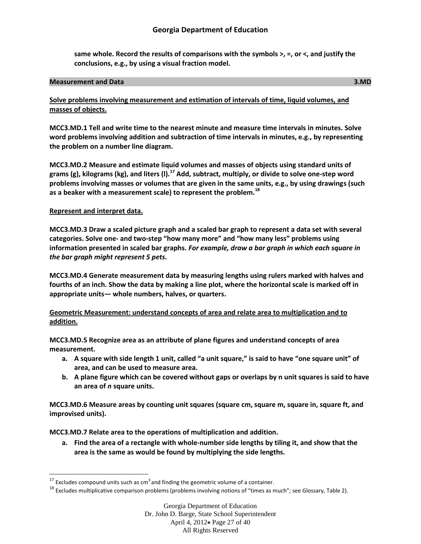# **Georgia Department of Education**

**same whole. Record the results of comparisons with the symbols >, =, or <, and justify the conclusions, e.g., by using a visual fraction model.**

#### **Measurement and Data 3.MD**

**Solve problems involving measurement and estimation of intervals of time, liquid volumes, and masses of objects.**

**MCC3.MD.1 Tell and write time to the nearest minute and measure time intervals in minutes. Solve word problems involving addition and subtraction of time intervals in minutes, e.g., by representing the problem on a number line diagram.**

**MCC3.MD.2 Measure and estimate liquid volumes and masses of objects using standard units of grams (g), kilograms (kg), and liters (l).<sup>17</sup> Add, subtract, multiply, or divide to solve one-step word problems involving masses or volumes that are given in the same units, e.g., by using drawings (such as a beaker with a measurement scale) to represent the problem.<sup>18</sup>**

# **Represent and interpret data.**

l

**MCC3.MD.3 Draw a scaled picture graph and a scaled bar graph to represent a data set with several categories. Solve one- and two-step "how many more" and "how many less" problems using information presented in scaled bar graphs.** *For example, draw a bar graph in which each square in the bar graph might represent 5 pets.*

**MCC3.MD.4 Generate measurement data by measuring lengths using rulers marked with halves and fourths of an inch. Show the data by making a line plot, where the horizontal scale is marked off in appropriate units— whole numbers, halves, or quarters.**

# **Geometric Measurement: understand concepts of area and relate area to multiplication and to addition.**

**MCC3.MD.5 Recognize area as an attribute of plane figures and understand concepts of area measurement.**

- **a. A square with side length 1 unit, called "a unit square," is said to have "one square unit" of area, and can be used to measure area.**
- **b. A plane figure which can be covered without gaps or overlaps by n unit squares is said to have an area of** *n* **square units.**

**MCC3.MD.6 Measure areas by counting unit squares (square cm, square m, square in, square ft, and improvised units).**

**MCC3.MD.7 Relate area to the operations of multiplication and addition.**

**a. Find the area of a rectangle with whole-number side lengths by tiling it, and show that the area is the same as would be found by multiplying the side lengths.**

 $17$  Excludes compound units such as cm<sup>3</sup> and finding the geometric volume of a container.

 $18$  Excludes multiplicative comparison problems (problems involving notions of "times as much"; see Glossary, Table 2).